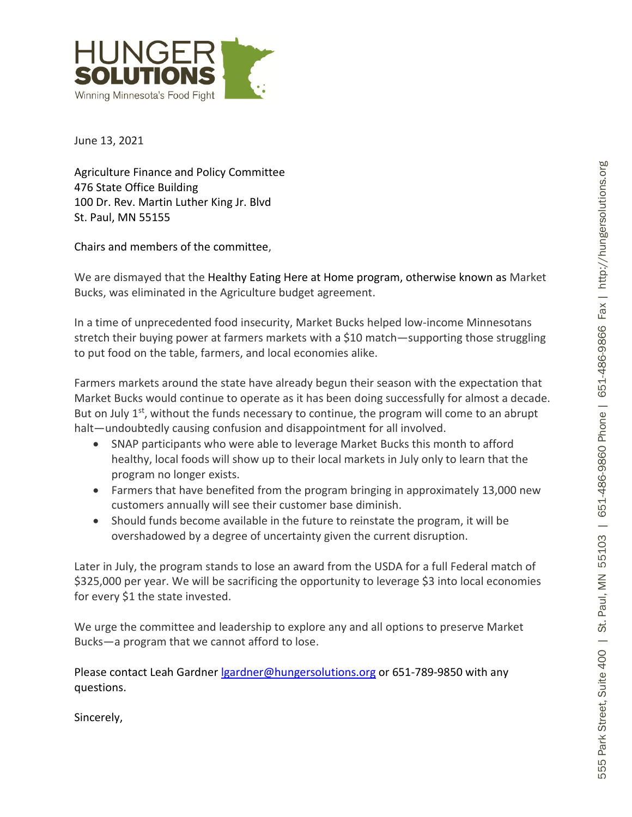

June 13, 2021

Agriculture Finance and Policy Committee 476 State Office Building 100 Dr. Rev. Martin Luther King Jr. Blvd St. Paul, MN 55155

Chairs and members of the committee ,

We are dismayed that the Healthy Eating Here at Home program, otherwise known as Market Bucks, was eliminated in the Agriculture budget agreement.

In a time of unprecedented food insecurity, Market Bucks helped low -income Minnesotans stretch their buying power at farmers markets with a \$10 match —supporting those struggling to put food on the table, farmers, and local economies alike.

Farmers markets around the state have already begun their season with the expectation that Market Bucks would continue to operate as it has been doing successfully for almost a decade. But on July  $1<sup>st</sup>$ , without the funds necessary to continue, the program will come to an abrupt halt —undoubtedly causing confusion and disappointment for all involved.

- SNAP participants who were able to leverage Market Bucks this month to afford healthy, local foods will show up to their local markets in July only to learn that the program no longer exists.
- Farmers that have benefited from the program bringing in approximately 13,000 new customers annually will see their customer base diminish.
- Should funds become available in the future to reinstate the program, it will be overshadowed by a d egree of uncertainty given the current disruption.

Later in July, the program stands to lose an award from the USDA for a full Federal match of \$325,000 per year. We will be sacrificing the opportunity to leverage \$3 into local economies for every \$1 the state invested.

We urge the committee and leadership to explore any and all options to preserve Market Bucks —a program that we cannot afford to lose.

Please contact Leah Gardner *Igardner@hungersolutions.org* or 651-789-9850 with any questions.

Sincerely,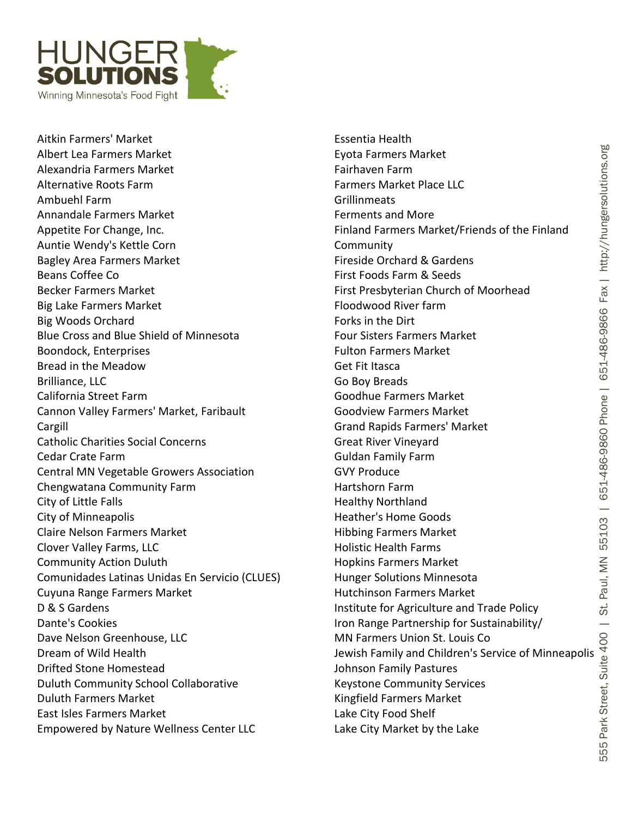

Aitkin Farmers' Market Albert Lea Farmers Market Alexandria Farmers Market Alternative Roots Farm Ambuehl Farm Annandale Farmers Market Appetite For Change, Inc. Auntie Wendy's Kettle Corn Bagley Area Farmers Market Beans Coffee Co Becker Farmers Market Big Lake Farmers Market Big Woods Orchard Blue Cross and Blue Shield of Minnesota Boondock, Enterprises Bread in the Meadow Brilliance, LLC California Street Farm Cannon Valley Farmers' Market, Faribault Cargill Catholic Charities Social Concerns Cedar Crate Farm Central MN Vegetable Growers Association Chengwatana Community Farm City of Little Falls City of Minneapolis Claire Nelson Farmers Market Clover Valley Farms, LLC Community Action Duluth Comunidades Latinas Unidas En Servicio (CLUES) Cuyuna Range Farmers Market D & S Gardens Dante's Cookies Dave Nelson Greenhouse, LLC Dream of Wild Health Drifted Stone Homestead Duluth Community School Collaborative Duluth Farmers Market East Isles Farmers Market Empowered by Nature Wellness Center LLC

Essentia Health Eyota Farmers Market Fairhaven Farm Farmers Market Place LLC Grillinmeats Ferments and More Finland Farmers Market/Friends of the Finland **Community** Fireside Orchard & Gardens First Foods Farm & Seeds First Presbyterian Church of Moorhead Floodwood River farm Forks in the Dirt Four Sisters Farmers Market Fulton Farmers Market Get Fit Itasca Go Boy Breads Goodhue Farmers Market Goodview Farmers Market Grand Rapids Farmers' Market Great River Vineyard Guldan Family Farm GVY Produce Hartshorn Farm Healthy Northland Heather's Home Goods Hibbing Farmers Market Holistic Health Farms Hopkins Farmers Market Hunger Solutions Minnesota Hutchinson Farmers Market Institute for Agriculture and Trade Policy Iron Range Partnership for Sustainability/ MN Farmers Union St. Louis Co Jewish Family and Children's Service of Minneapolis Johnson Family Pastures Keystone Community Services Kingfield Farmers Market Lake City Food Shelf Lake City Market by the Lake